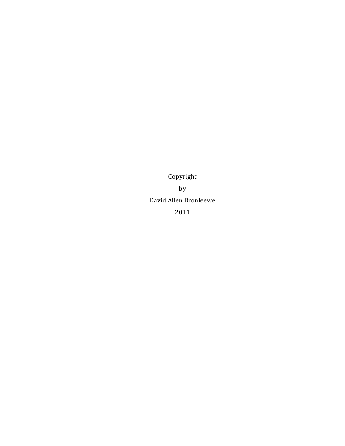Copyright by David Allen Bronleewe 2011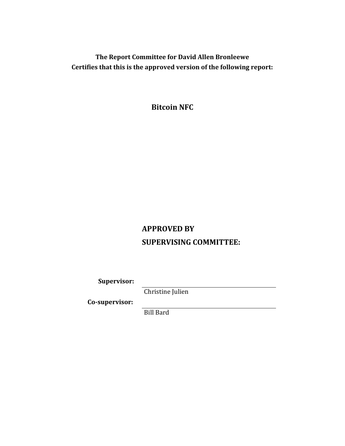**The Report Committee for David Allen Bronleewe Certifies that this is the approved version of the following report:**

**Bitcoin NFC**

# **APPROVED BY SUPERVISING COMMITTEE:**

**Supervisor:**

Christine Julien

**Co-supervisor:**

Bill Bard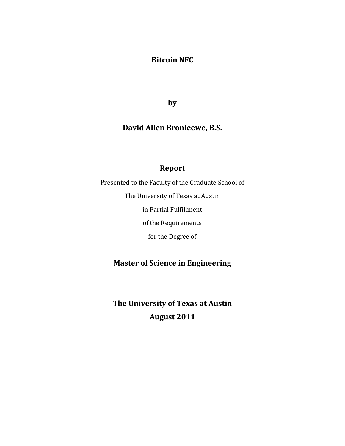# **Bitcoin NFC**

**by**

# **David Allen Bronleewe, B.S.**

# **Report**

Presented to the Faculty of the Graduate School of The University of Texas at Austin in Partial Fulfillment of the Requirements for the Degree of

# **Master of Science in Engineering**

**The University of Texas at Austin August 2011**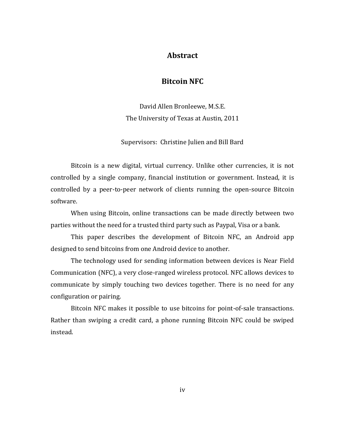## **Abstract**

# **Bitcoin NFC**

David Allen Bronleewe, M.S.E. The University of Texas at Austin, 2011

Supervisors: Christine Julien and Bill Bard

Bitcoin is a new digital, virtual currency. Unlike other currencies, it is not controlled by a single company, financial institution or government. Instead, it is controlled by a peer-to-peer network of clients running the open-source Bitcoin software.

When using Bitcoin, online transactions can be made directly between two parties without the need for a trusted third party such as Paypal, Visa or a bank.

This paper describes the development of Bitcoin NFC, an Android app designed to send bitcoins from one Android device to another.

The technology used for sending information between devices is Near Field Communication (NFC), a very close-ranged wireless protocol. NFC allows devices to communicate by simply touching two devices together. There is no need for any configuration or pairing.

Bitcoin NFC makes it possible to use bitcoins for point-of-sale transactions. Rather than swiping a credit card, a phone running Bitcoin NFC could be swiped instead.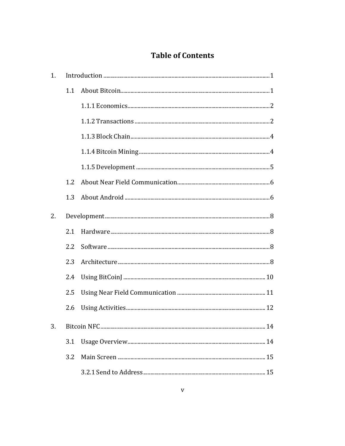# **Table of Contents**

| 1. |                                                                                                                                                                                                                                                                                                                                                                                               |  |  |
|----|-----------------------------------------------------------------------------------------------------------------------------------------------------------------------------------------------------------------------------------------------------------------------------------------------------------------------------------------------------------------------------------------------|--|--|
|    | 1.1                                                                                                                                                                                                                                                                                                                                                                                           |  |  |
|    |                                                                                                                                                                                                                                                                                                                                                                                               |  |  |
|    |                                                                                                                                                                                                                                                                                                                                                                                               |  |  |
|    |                                                                                                                                                                                                                                                                                                                                                                                               |  |  |
|    |                                                                                                                                                                                                                                                                                                                                                                                               |  |  |
|    |                                                                                                                                                                                                                                                                                                                                                                                               |  |  |
|    | 1.2                                                                                                                                                                                                                                                                                                                                                                                           |  |  |
|    | 1.3                                                                                                                                                                                                                                                                                                                                                                                           |  |  |
| 2. | $\label{eq:2} \textbf{Development} \textit{} \textit{} \textit{} \textit{} \textit{} \textit{} \textit{} \textit{} \textit{} \textit{} \textit{} \textit{} \textit{} \textit{} \textit{} \textit{} \textit{} \textit{} \textit{} \textit{} \textit{} \textit{} \textit{} \textit{} \textit{} \textit{} \textit{} \textit{} \textit{} \textit{} \textit{} \textit{} \textit{} \textit{} \text$ |  |  |
|    | 2.1                                                                                                                                                                                                                                                                                                                                                                                           |  |  |
|    | 2.2                                                                                                                                                                                                                                                                                                                                                                                           |  |  |
|    | 2.3                                                                                                                                                                                                                                                                                                                                                                                           |  |  |
|    | 2.4                                                                                                                                                                                                                                                                                                                                                                                           |  |  |
|    | 2.5                                                                                                                                                                                                                                                                                                                                                                                           |  |  |
|    | 2.6                                                                                                                                                                                                                                                                                                                                                                                           |  |  |
| 3. |                                                                                                                                                                                                                                                                                                                                                                                               |  |  |
|    | 3.1                                                                                                                                                                                                                                                                                                                                                                                           |  |  |
|    | 3.2                                                                                                                                                                                                                                                                                                                                                                                           |  |  |
|    |                                                                                                                                                                                                                                                                                                                                                                                               |  |  |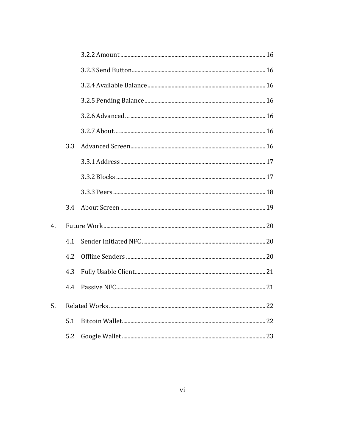|    | 3.3 |  |
|----|-----|--|
|    |     |  |
|    |     |  |
|    |     |  |
|    | 3.4 |  |
| 4. |     |  |
|    | 4.1 |  |
|    | 4.2 |  |
|    | 4.3 |  |
|    | 4.4 |  |
| 5. |     |  |
|    | 5.1 |  |
|    | 5.2 |  |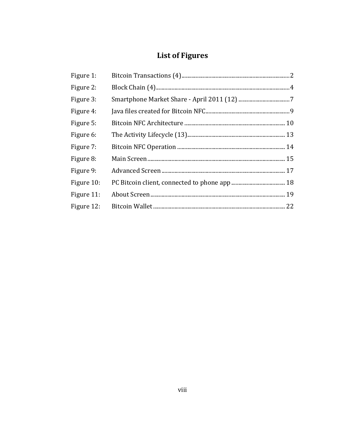# **List of Figures**

| Figure 1:  |  |
|------------|--|
| Figure 2:  |  |
| Figure 3:  |  |
| Figure 4:  |  |
| Figure 5:  |  |
| Figure 6:  |  |
| Figure 7:  |  |
| Figure 8:  |  |
| Figure 9:  |  |
| Figure 10: |  |
| Figure 11: |  |
| Figure 12: |  |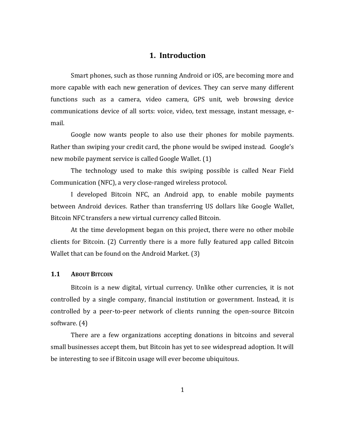## **1. Introduction**

Smart phones, such as those running Android or iOS, are becoming more and more capable with each new generation of devices. They can serve many different functions such as a camera, video camera, GPS unit, web browsing device communications device of all sorts: voice, video, text message, instant message, email.

Google now wants people to also use their phones for mobile payments. Rather than swiping your credit card, the phone would be swiped instead. Google's new mobile payment service is called Google Wallet. (1)

The technology used to make this swiping possible is called Near Field Communication (NFC), a very close-ranged wireless protocol.

I developed Bitcoin NFC, an Android app, to enable mobile payments between Android devices. Rather than transferring US dollars like Google Wallet, Bitcoin NFC transfers a new virtual currency called Bitcoin.

At the time development began on this project, there were no other mobile clients for Bitcoin. (2) Currently there is a more fully featured app called Bitcoin Wallet that can be found on the Android Market. (3)

#### **1.1 ABOUT BITCOIN**

Bitcoin is a new digital, virtual currency. Unlike other currencies, it is not controlled by a single company, financial institution or government. Instead, it is controlled by a peer-to-peer network of clients running the open-source Bitcoin software. (4)

There are a few organizations accepting donations in bitcoins and several small businesses accept them, but Bitcoin has yet to see widespread adoption. It will be interesting to see if Bitcoin usage will ever become ubiquitous.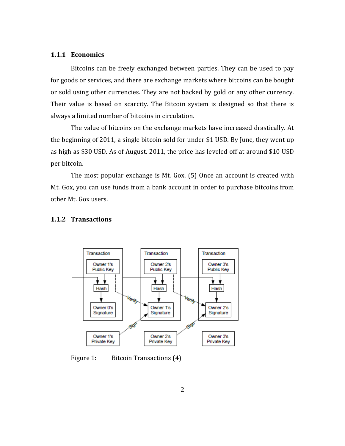#### **1.1.1 Economics**

Bitcoins can be freely exchanged between parties. They can be used to pay for goods or services, and there are exchange markets where bitcoins can be bought or sold using other currencies. They are not backed by gold or any other currency. Their value is based on scarcity. The Bitcoin system is designed so that there is always a limited number of bitcoins in circulation.

The value of bitcoins on the exchange markets have increased drastically. At the beginning of 2011, a single bitcoin sold for under \$1 USD. By June, they went up as high as \$30 USD. As of August, 2011, the price has leveled off at around \$10 USD per bitcoin.

The most popular exchange is Mt. Gox. (5) Once an account is created with Mt. Gox, you can use funds from a bank account in order to purchase bitcoins from other Mt. Gox users.

#### **1.1.2 Transactions**



Figure 1: Bitcoin Transactions (4)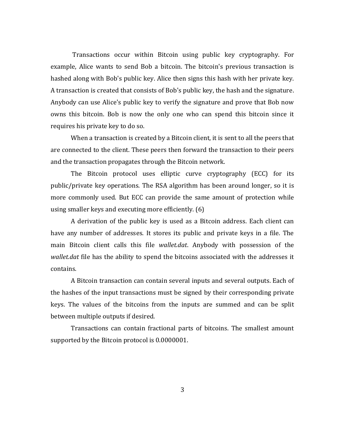Transactions occur within Bitcoin using public key cryptography. For example, Alice wants to send Bob a bitcoin. The bitcoin's previous transaction is hashed along with Bob's public key. Alice then signs this hash with her private key. A transaction is created that consists of Bob's public key, the hash and the signature. Anybody can use Alice's public key to verify the signature and prove that Bob now owns this bitcoin. Bob is now the only one who can spend this bitcoin since it requires his private key to do so.

When a transaction is created by a Bitcoin client, it is sent to all the peers that are connected to the client. These peers then forward the transaction to their peers and the transaction propagates through the Bitcoin network.

The Bitcoin protocol uses elliptic curve cryptography (ECC) for its public/private key operations. The RSA algorithm has been around longer, so it is more commonly used. But ECC can provide the same amount of protection while using smaller keys and executing more efficiently. (6)

A derivation of the public key is used as a Bitcoin address. Each client can have any number of addresses. It stores its public and private keys in a file. The main Bitcoin client calls this file *wallet.dat*. Anybody with possession of the *wallet.dat* file has the ability to spend the bitcoins associated with the addresses it contains.

A Bitcoin transaction can contain several inputs and several outputs. Each of the hashes of the input transactions must be signed by their corresponding private keys. The values of the bitcoins from the inputs are summed and can be split between multiple outputs if desired.

Transactions can contain fractional parts of bitcoins. The smallest amount supported by the Bitcoin protocol is 0.0000001.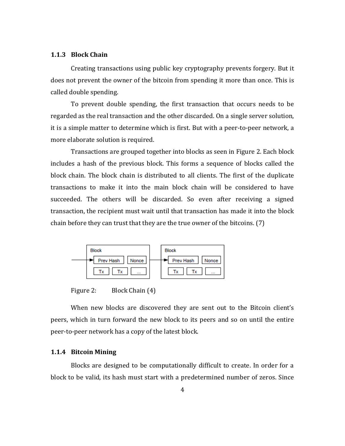#### **1.1.3 Block Chain**

Creating transactions using public key cryptography prevents forgery. But it does not prevent the owner of the bitcoin from spending it more than once. This is called double spending.

To prevent double spending, the first transaction that occurs needs to be regarded as the real transaction and the other discarded. On a single server solution, it is a simple matter to determine which is first. But with a peer-to-peer network, a more elaborate solution is required.

Transactions are grouped together into blocks as seen in [Figure 2.](#page-11-0) Each block includes a hash of the previous block. This forms a sequence of blocks called the block chain. The block chain is distributed to all clients. The first of the duplicate transactions to make it into the main block chain will be considered to have succeeded. The others will be discarded. So even after receiving a signed transaction, the recipient must wait until that transaction has made it into the block chain before they can trust that they are the true owner of the bitcoins. (7)



Figure 2: Block Chain (4)

<span id="page-11-0"></span>When new blocks are discovered they are sent out to the Bitcoin client's peers, which in turn forward the new block to its peers and so on until the entire peer-to-peer network has a copy of the latest block.

#### **1.1.4 Bitcoin Mining**

Blocks are designed to be computationally difficult to create. In order for a block to be valid, its hash must start with a predetermined number of zeros. Since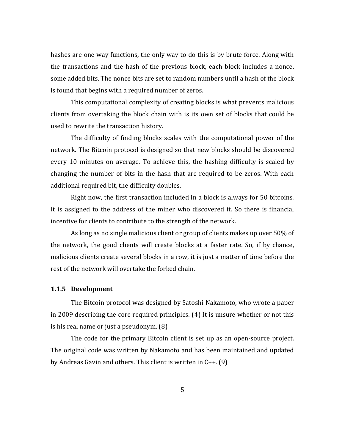hashes are one way functions, the only way to do this is by brute force. Along with the transactions and the hash of the previous block, each block includes a nonce, some added bits. The nonce bits are set to random numbers until a hash of the block is found that begins with a required number of zeros.

This computational complexity of creating blocks is what prevents malicious clients from overtaking the block chain with is its own set of blocks that could be used to rewrite the transaction history.

The difficulty of finding blocks scales with the computational power of the network. The Bitcoin protocol is designed so that new blocks should be discovered every 10 minutes on average. To achieve this, the hashing difficulty is scaled by changing the number of bits in the hash that are required to be zeros. With each additional required bit, the difficulty doubles.

Right now, the first transaction included in a block is always for 50 bitcoins. It is assigned to the address of the miner who discovered it. So there is financial incentive for clients to contribute to the strength of the network.

As long as no single malicious client or group of clients makes up over 50% of the network, the good clients will create blocks at a faster rate. So, if by chance, malicious clients create several blocks in a row, it is just a matter of time before the rest of the network will overtake the forked chain.

#### **1.1.5 Development**

The Bitcoin protocol was designed by Satoshi Nakamoto, who wrote a paper in 2009 describing the core required principles. (4) It is unsure whether or not this is his real name or just a pseudonym. (8)

The code for the primary Bitcoin client is set up as an open-source project. The original code was written by Nakamoto and has been maintained and updated by Andreas Gavin and others. This client is written in C++. (9)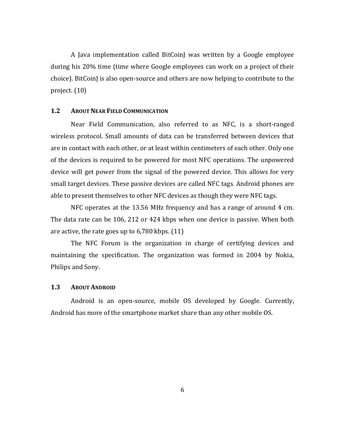A Java implementation called BitCoinJ was written by a Google employee during his 20% time (time where Google employees can work on a project of their choice). BitCoinJ is also open-source and others are now helping to contribute to the project. (10)

#### **1.2 ABOUT NEAR FIELD COMMUNICATION**

Near Field Communication, also referred to as NFC, is a short-ranged wireless protocol. Small amounts of data can be transferred between devices that are in contact with each other, or at least within centimeters of each other. Only one of the devices is required to be powered for most NFC operations. The unpowered device will get power from the signal of the powered device. This allows for very small target devices. These passive devices are called NFC tags. Android phones are able to present themselves to other NFC devices as though they were NFC tags.

NFC operates at the 13.56 MHz frequency and has a range of around 4 cm. The data rate can be 106, 212 or 424 kbps when one device is passive. When both are active, the rate goes up to 6,780 kbps. (11)

The NFC Forum is the organization in charge of certifying devices and maintaining the specification. The organization was formed in 2004 by Nokia, Philips and Sony.

#### **1.3 ABOUT ANDROID**

Android is an open-source, mobile OS developed by Google. Currently, Android has more of the smartphone market share than any other mobile OS.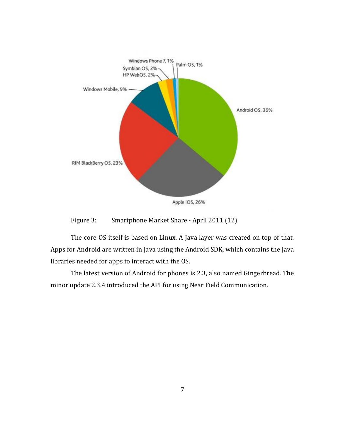

Figure 3: Smartphone Market Share - April 2011 (12)

The core OS itself is based on Linux. A Java layer was created on top of that. Apps for Android are written in Java using the Android SDK, which contains the Java libraries needed for apps to interact with the OS.

The latest version of Android for phones is 2.3, also named Gingerbread. The minor update 2.3.4 introduced the API for using Near Field Communication.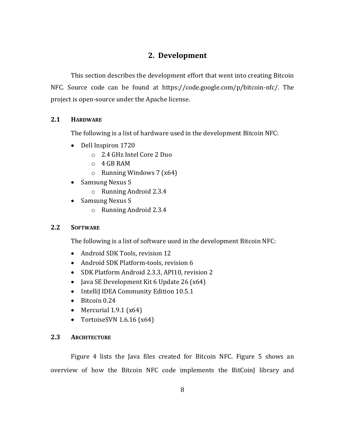# **2. Development**

This section describes the development effort that went into creating Bitcoin NFC. Source code can be found at https://code.google.com/p/bitcoin-nfc/. The project is open-source under the Apache license.

# **2.1 HARDWARE**

The following is a list of hardware used in the development Bitcoin NFC:

- Dell Inspiron 1720
	- o 2.4 GHz Intel Core 2 Duo
	- o 4 GB RAM
	- $\circ$  Running Windows 7 (x64)
- Samsung Nexus S
	- o Running Android 2.3.4
- Samsung Nexus S
	- o Running Android 2.3.4

## **2.2 SOFTWARE**

The following is a list of software used in the development Bitcoin NFC:

- Android SDK Tools, revision 12
- Android SDK Platform-tools, revision 6
- SDK Platform Android 2.3.3, API10, revision 2
- $\bullet$  Java SE Development Kit 6 Update 26 (x64)
- IntelliJ IDEA Community Edition 10.5.1
- Bitcoin 0.24
- Mercurial  $1.9.1$  ( $x64$ )
- TortoiseSVN  $1.6.16$  (x64)

## **2.3 ARCHITECTURE**

[Figure 4](#page-16-0) lists the Java files created for Bitcoin NFC. [Figure 5](#page-17-0) shows an overview of how the Bitcoin NFC code implements the BitCoinJ library and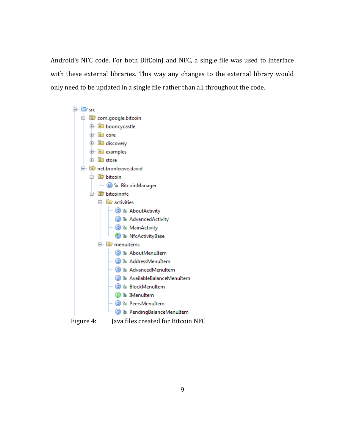Android's NFC code. For both BitCoinJ and NFC, a single file was used to interface with these external libraries. This way any changes to the external library would only need to be updated in a single file rather than all throughout the code.



<span id="page-16-0"></span>Figure 4: Java files created for Bitcoin NFC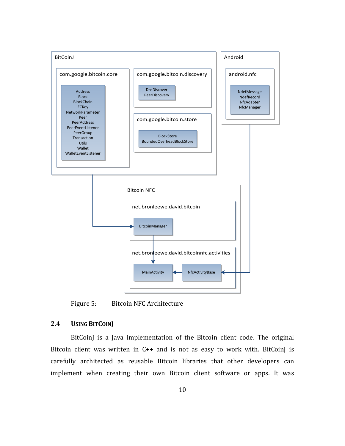

<span id="page-17-0"></span>Figure 5: Bitcoin NFC Architecture

#### **2.4 USING BITCOINJ**

BitCoinJ is a Java implementation of the Bitcoin client code. The original Bitcoin client was written in C++ and is not as easy to work with. BitCoinJ is carefully architected as reusable Bitcoin libraries that other developers can implement when creating their own Bitcoin client software or apps. It was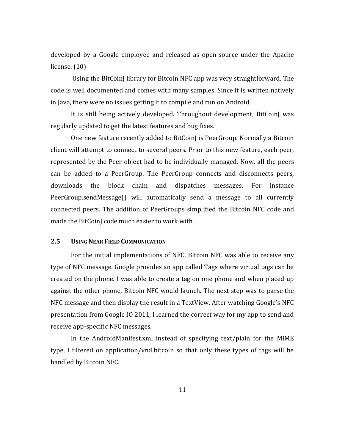developed by a Google employee and released as open-source under the Apache license. (10)

Using the BitCoinJ library for Bitcoin NFC app was very straightforward. The code is well documented and comes with many samples. Since it is written natively in Java, there were no issues getting it to compile and run on Android.

It is still being actively developed. Throughout development, BitCoinJ was regularly updated to get the latest features and bug fixes.

One new feature recently added to BitCoinJ is PeerGroup. Normally a Bitcoin client will attempt to connect to several peers. Prior to this new feature, each peer, represented by the Peer object had to be individually managed. Now, all the peers can be added to a PeerGroup. The PeerGroup connects and disconnects peers, downloads the block chain and dispatches messages. For instance PeerGroup.sendMessage() will automatically send a message to all currently connected peers. The addition of PeerGroups simplified the Bitcoin NFC code and made the BitCoinJ code much easier to work with.

#### **2.5 USING NEAR FIELD COMMUNICATION**

For the initial implementations of NFC, Bitcoin NFC was able to receive any type of NFC message. Google provides an app called Tags where virtual tags can be created on the phone. I was able to create a tag on one phone and when placed up against the other phone, Bitcoin NFC would launch. The next step was to parse the NFC message and then display the result in a TextView. After watching Google's NFC presentation from Google IO 2011, I learned the correct way for my app to send and receive app-specific NFC messages.

In the AndroidManifest.xml instead of specifying text/plain for the MIME type, I filtered on application/vnd.bitcoin so that only these types of tags will be handled by Bitcoin NFC.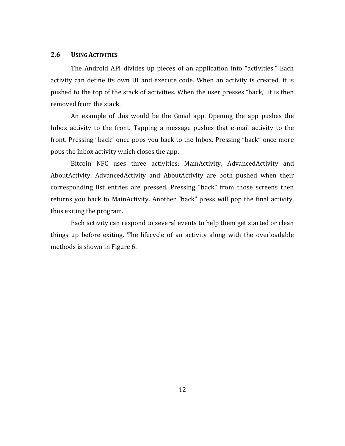#### **2.6 USING ACTIVITIES**

The Android API divides up pieces of an application into "activities." Each activity can define its own UI and execute code. When an activity is created, it is pushed to the top of the stack of activities. When the user presses "back," it is then removed from the stack.

An example of this would be the Gmail app. Opening the app pushes the Inbox activity to the front. Tapping a message pushes that e-mail activity to the front. Pressing "back" once pops you back to the Inbox. Pressing "back" once more pops the Inbox activity which closes the app.

Bitcoin NFC uses three activities: MainActivity, AdvancedActivity and AboutActivity. AdvancedActivity and AboutActivity are both pushed when their corresponding list entries are pressed. Pressing "back" from those screens then returns you back to MainActivity. Another "back" press will pop the final activity, thus exiting the program.

Each activity can respond to several events to help them get started or clean things up before exiting. The lifecycle of an activity along with the overloadable methods is shown in [Figure 6.](#page-20-0)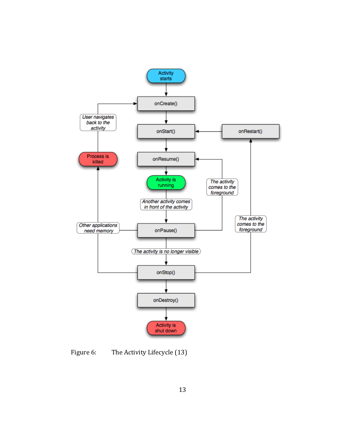

<span id="page-20-0"></span>Figure 6: The Activity Lifecycle (13)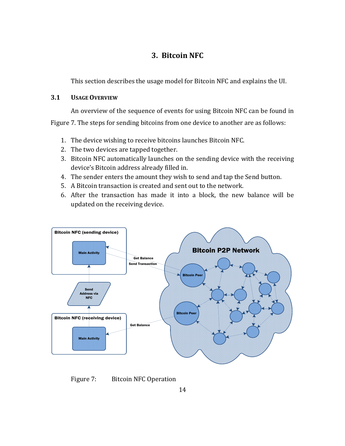# **3. Bitcoin NFC**

This section describes the usage model for Bitcoin NFC and explains the UI.

## **3.1 USAGEOVERVIEW**

An overview of the sequence of events for using Bitcoin NFC can be found in [Figure 7.](#page-21-0) The steps for sending bitcoins from one device to another are as follows:

- 1. The device wishing to receive bitcoins launches Bitcoin NFC.
- 2. The two devices are tapped together.
- 3. Bitcoin NFC automatically launches on the sending device with the receiving device's Bitcoin address already filled in.
- 4. The sender enters the amount they wish to send and tap the Send button.
- 5. A Bitcoin transaction is created and sent out to the network.
- 6. After the transaction has made it into a block, the new balance will be updated on the receiving device.



<span id="page-21-0"></span>Figure 7: Bitcoin NFC Operation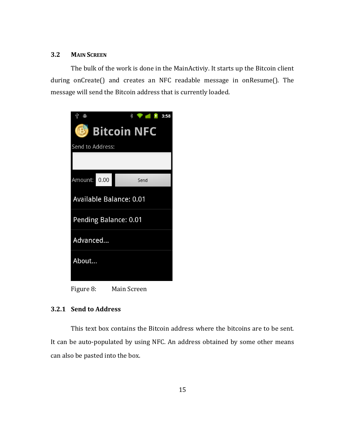#### **3.2 MAIN SCREEN**

The bulk of the work is done in the MainActiviy. It starts up the Bitcoin client during onCreate() and creates an NFC readable message in onResume(). The message will send the Bitcoin address that is currently loaded.



Figure 8: Main Screen

#### **3.2.1 Send to Address**

This text box contains the Bitcoin address where the bitcoins are to be sent. It can be auto-populated by using NFC. An address obtained by some other means can also be pasted into the box.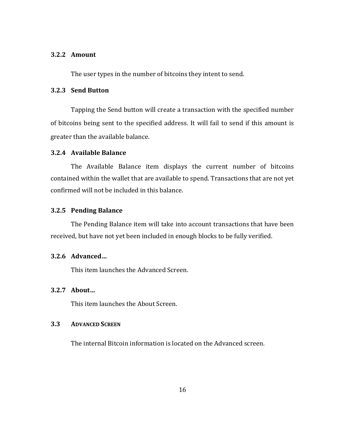#### **3.2.2 Amount**

The user types in the number of bitcoins they intent to send.

### **3.2.3 Send Button**

Tapping the Send button will create a transaction with the specified number of bitcoins being sent to the specified address. It will fail to send if this amount is greater than the available balance.

#### **3.2.4 Available Balance**

The Available Balance item displays the current number of bitcoins contained within the wallet that are available to spend. Transactions that are not yet confirmed will not be included in this balance.

#### **3.2.5 Pending Balance**

The Pending Balance item will take into account transactions that have been received, but have not yet been included in enough blocks to be fully verified.

#### **3.2.6 Advanced…**

This item launches the Advanced Screen.

#### **3.2.7 About…**

This item launches the About Screen.

#### **3.3 ADVANCED SCREEN**

The internal Bitcoin information is located on the Advanced screen.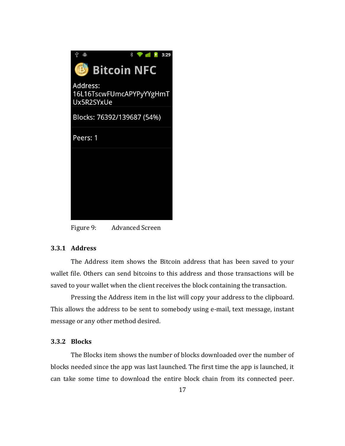

Figure 9: Advanced Screen

## **3.3.1 Address**

The Address item shows the Bitcoin address that has been saved to your wallet file. Others can send bitcoins to this address and those transactions will be saved to your wallet when the client receives the block containing the transaction.

Pressing the Address item in the list will copy your address to the clipboard. This allows the address to be sent to somebody using e-mail, text message, instant message or any other method desired.

#### **3.3.2 Blocks**

The Blocks item shows the number of blocks downloaded over the number of blocks needed since the app was last launched. The first time the app is launched, it can take some time to download the entire block chain from its connected peer.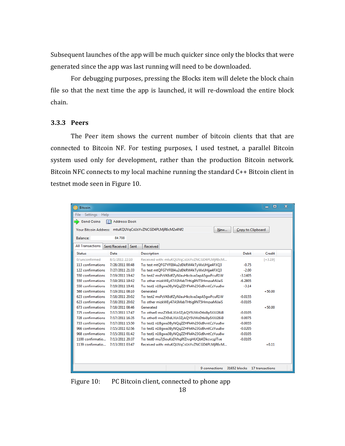Subsequent launches of the app will be much quicker since only the blocks that were generated since the app was last running will need to be downloaded.

For debugging purposes, pressing the Blocks item will delete the block chain file so that the next time the app is launched, it will re-download the entire block chain.

#### **3.3.3 Peers**

The Peer item shows the current number of bitcoin clients that that are connected to Bitcoin NF. For testing purposes, I used testnet, a parallel Bitcoin system used only for development, rather than the production Bitcoin network. Bitcoin NFC connects to my local machine running the standard C++ Bitcoin client in testnet mode seen in [Figure 10.](#page-25-0)

| <b>Bitcoin</b>                                |                                                                                      |                                               |                              | $\overline{\mathbf{x}}$<br>回<br>▭ |  |  |  |  |  |
|-----------------------------------------------|--------------------------------------------------------------------------------------|-----------------------------------------------|------------------------------|-----------------------------------|--|--|--|--|--|
| Settings<br>File                              | Help                                                                                 |                                               |                              |                                   |  |  |  |  |  |
| <b>Send Coins</b><br>m<br><b>Address Book</b> |                                                                                      |                                               |                              |                                   |  |  |  |  |  |
|                                               | Your Bitcoin Address: mtuKQUVqCsUsYvZNCGD4PLMjR6cM2x4Nf2<br>Copy to Clipboard<br>New |                                               |                              |                                   |  |  |  |  |  |
| Balance:                                      | 84.708                                                                               |                                               |                              |                                   |  |  |  |  |  |
| <b>All Transactions</b>                       | Sent/Received<br>Sent                                                                | Received                                      |                              |                                   |  |  |  |  |  |
| <b>Status</b>                                 | Date                                                                                 | <b>Description</b>                            | <b>Debit</b>                 | <b>Credit</b>                     |  |  |  |  |  |
| 0/unconfirmed                                 | 8/1/2011 22:10                                                                       | Received with: mtuKQUVqCsUsYvZNCGD4PLMjR6cM   |                              | $[-3.19]$                         |  |  |  |  |  |
| 113 confirmations                             | 7/28/2011 00:48                                                                      | To: test mtQFG7YFE84u2dDkRW4kTyWxUHjje4FXQ3   | $-0.75$                      |                                   |  |  |  |  |  |
| 122 confirmations                             | 7/27/2011 21:33                                                                      | To: test mtQFG7YFE84u2dDkRW4kTyWxUHjje4FXQ3   | $-2.00$                      |                                   |  |  |  |  |  |
| 550 confirmations                             | 7/19/2011 19:42                                                                      | To: test2 msPzVK6dfZyNJauHkckva3apA5qwPcuR1W  | $-3.1405$                    |                                   |  |  |  |  |  |
| 550 confirmations                             | 7/19/2011 19:42                                                                      | To: other mizkWEy47ASMabTHtig9NT5HmzxaMiJaiS  | $-6.2805$                    |                                   |  |  |  |  |  |
| 550 confirmations                             | 7/19/2011 19:41                                                                      | To: test1 n1Bqwa3ByNQqZZHFk4h23Gd9vntCzYuu8w  | $-3.14$                      |                                   |  |  |  |  |  |
| 586 confirmations                             | 7/19/2011 08:10                                                                      | Generated                                     |                              | $+50.00$                          |  |  |  |  |  |
| 623 confirmations                             | 7/18/2011 20:02                                                                      | To: test2 msPzVK6dfZyNJauHkckva3apA5qwPcuR1W  | $-0.0155$                    |                                   |  |  |  |  |  |
| 623 confirmations                             | 7/18/2011 20:02                                                                      | To: other mizkWEy47ASMabTHtig9NT5HmzxaMiJaiS  | $-0.0105$                    |                                   |  |  |  |  |  |
| 673 confirmations                             | 7/18/2011 08:46                                                                      | Generated                                     |                              | $+50.00$                          |  |  |  |  |  |
| 725 confirmations                             | 7/17/2011 17:47                                                                      | To: other0 moZX9dLXUr3ZykQY5UWzDtbi9p5XXJ26iB | $-0.0105$                    |                                   |  |  |  |  |  |
| 728 confirmations                             | 7/17/2011 16:35                                                                      | To: other0 moZX9dLXUr3ZykQY5UWzDtbi9p5XXJ26iB | $-0.0075$                    |                                   |  |  |  |  |  |
| 733 confirmations                             | 7/17/2011 15:50                                                                      | To: test1 n1Bqwa3ByNQqZZHFk4h23Gd9vntCzYuu8w  | $-0.0055$                    |                                   |  |  |  |  |  |
| 966 confirmations                             | 7/15/2011 02:56                                                                      | To: test1 n1Bqwa3ByNQqZZHFk4h23Gd9vntCzYuu8w  | $-0.0205$                    |                                   |  |  |  |  |  |
| 968 confirmations                             | 7/15/2011 01:42                                                                      | To: test1 n1Bqwa3ByNQqZZHFk4h23Gd9vntCzYuu8w  | $-0.0105$                    |                                   |  |  |  |  |  |
| 1100 confirmatio                              | 7/13/2011 20:37                                                                      | To: test0 mu7j5ouKsDVhgRfZrvgHUQbKDkcvcgJTve  | $-0.0105$                    |                                   |  |  |  |  |  |
| 1139 confirmatio                              | 7/13/2011 03:47                                                                      | Received with: mtuKQUVqCsUsYvZNCGD4PLMjR6cM   |                              | $+0.11$                           |  |  |  |  |  |
|                                               |                                                                                      |                                               |                              |                                   |  |  |  |  |  |
|                                               |                                                                                      | 9 connections                                 | 31652 blocks 17 transactions |                                   |  |  |  |  |  |

<span id="page-25-0"></span>Figure 10: PC Bitcoin client, connected to phone app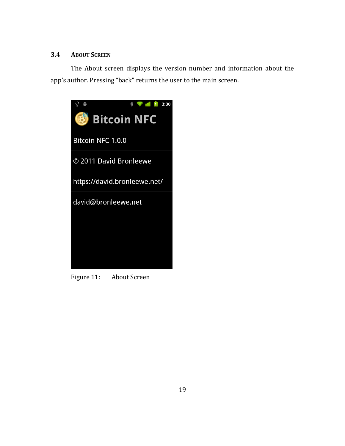## **3.4 ABOUT SCREEN**

The About screen displays the version number and information about the app's author. Pressing "back" returns the user to the main screen.



Figure 11: About Screen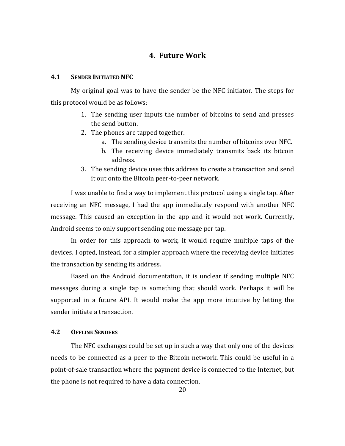# **4. Future Work**

#### **4.1 SENDER INITIATED NFC**

My original goal was to have the sender be the NFC initiator. The steps for this protocol would be as follows:

- 1. The sending user inputs the number of bitcoins to send and presses the send button.
- 2. The phones are tapped together.
	- a. The sending device transmits the number of bitcoins over NFC.
	- b. The receiving device immediately transmits back its bitcoin address.
- 3. The sending device uses this address to create a transaction and send it out onto the Bitcoin peer-to-peer network.

I was unable to find a way to implement this protocol using a single tap. After receiving an NFC message, I had the app immediately respond with another NFC message. This caused an exception in the app and it would not work. Currently, Android seems to only support sending one message per tap.

In order for this approach to work, it would require multiple taps of the devices. I opted, instead, for a simpler approach where the receiving device initiates the transaction by sending its address.

Based on the Android documentation, it is unclear if sending multiple NFC messages during a single tap is something that should work. Perhaps it will be supported in a future API. It would make the app more intuitive by letting the sender initiate a transaction.

#### **4.2 OFFLINE SENDERS**

The NFC exchanges could be set up in such a way that only one of the devices needs to be connected as a peer to the Bitcoin network. This could be useful in a point-of-sale transaction where the payment device is connected to the Internet, but the phone is not required to have a data connection.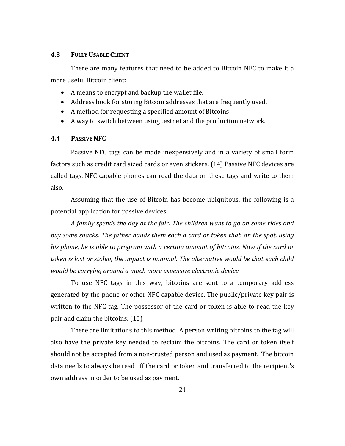#### **4.3 FULLY USABLE CLIENT**

There are many features that need to be added to Bitcoin NFC to make it a more useful Bitcoin client:

- A means to encrypt and backup the wallet file.
- Address book for storing Bitcoin addresses that are frequently used.
- A method for requesting a specified amount of Bitcoins.
- A way to switch between using testnet and the production network.

#### **4.4 PASSIVE NFC**

Passive NFC tags can be made inexpensively and in a variety of small form factors such as credit card sized cards or even stickers. (14) Passive NFC devices are called tags. NFC capable phones can read the data on these tags and write to them also.

Assuming that the use of Bitcoin has become ubiquitous, the following is a potential application for passive devices.

*A family spends the day at the fair. The children want to go on some rides and buy some snacks. The father hands them each a card or token that, on the spot, using his phone, he is able to program with a certain amount of bitcoins. Now if the card or token is lost or stolen, the impact is minimal. The alternative would be that each child would be carrying around a much more expensive electronic device.*

To use NFC tags in this way, bitcoins are sent to a temporary address generated by the phone or other NFC capable device. The public/private key pair is written to the NFC tag. The possessor of the card or token is able to read the key pair and claim the bitcoins. (15)

There are limitations to this method. A person writing bitcoins to the tag will also have the private key needed to reclaim the bitcoins. The card or token itself should not be accepted from a non-trusted person and used as payment. The bitcoin data needs to always be read off the card or token and transferred to the recipient's own address in order to be used as payment.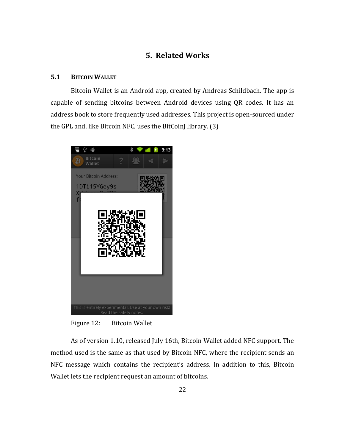# **5. Related Works**

## **5.1 BITCOIN WALLET**

Bitcoin Wallet is an Android app, created by Andreas Schildbach. The app is capable of sending bitcoins between Android devices using QR codes. It has an address book to store frequently used addresses. This project is open-sourced under the GPL and, like Bitcoin NFC, uses the BitCoinJ library. (3)



Figure 12: Bitcoin Wallet

As of version 1.10, released July 16th, Bitcoin Wallet added NFC support. The method used is the same as that used by Bitcoin NFC, where the recipient sends an NFC message which contains the recipient's address. In addition to this, Bitcoin Wallet lets the recipient request an amount of bitcoins.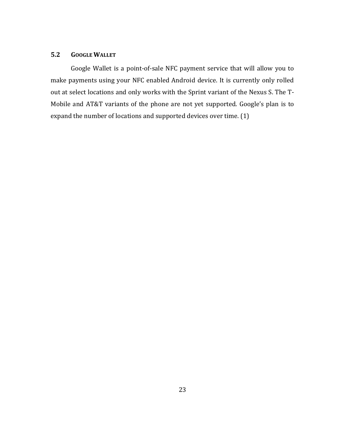#### **5.2 GOOGLE WALLET**

Google Wallet is a point-of-sale NFC payment service that will allow you to make payments using your NFC enabled Android device. It is currently only rolled out at select locations and only works with the Sprint variant of the Nexus S. The T-Mobile and AT&T variants of the phone are not yet supported. Google's plan is to expand the number of locations and supported devices over time. (1)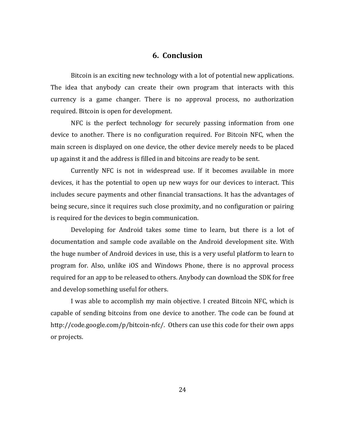## **6. Conclusion**

Bitcoin is an exciting new technology with a lot of potential new applications. The idea that anybody can create their own program that interacts with this currency is a game changer. There is no approval process, no authorization required. Bitcoin is open for development.

NFC is the perfect technology for securely passing information from one device to another. There is no configuration required. For Bitcoin NFC, when the main screen is displayed on one device, the other device merely needs to be placed up against it and the address is filled in and bitcoins are ready to be sent.

Currently NFC is not in widespread use. If it becomes available in more devices, it has the potential to open up new ways for our devices to interact. This includes secure payments and other financial transactions. It has the advantages of being secure, since it requires such close proximity, and no configuration or pairing is required for the devices to begin communication.

Developing for Android takes some time to learn, but there is a lot of documentation and sample code available on the Android development site. With the huge number of Android devices in use, this is a very useful platform to learn to program for. Also, unlike iOS and Windows Phone, there is no approval process required for an app to be released to others. Anybody can download the SDK for free and develop something useful for others.

I was able to accomplish my main objective. I created Bitcoin NFC, which is capable of sending bitcoins from one device to another. The code can be found at http://code.google.com/p/bitcoin-nfc/. Others can use this code for their own apps or projects.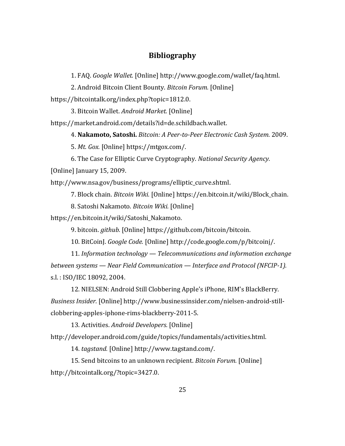# **Bibliography**

1. FAQ. *Google Wallet.* [Online] http://www.google.com/wallet/faq.html.

2. Android Bitcoin Client Bounty. *Bitcoin Forum.* [Online]

https://bitcointalk.org/index.php?topic=1812.0.

3. Bitcoin Wallet. *Android Market.* [Online]

https://market.android.com/details?id=de.schildbach.wallet.

4. **Nakamoto, Satoshi.** *Bitcoin: A Peer-to-Peer Electronic Cash System.* 2009.

5. *Mt. Gox.* [Online] https://mtgox.com/.

6. The Case for Elliptic Curve Cryptography. *National Security Agency.* 

[Online] January 15, 2009.

http://www.nsa.gov/business/programs/elliptic\_curve.shtml.

7. Block chain. *Bitcoin Wiki.* [Online] https://en.bitcoin.it/wiki/Block\_chain.

8. Satoshi Nakamoto. *Bitcoin Wiki.* [Online]

https://en.bitcoin.it/wiki/Satoshi\_Nakamoto.

9. bitcoin. *github.* [Online] https://github.com/bitcoin/bitcoin.

10. BitCoinJ. *Google Code.* [Online] http://code.google.com/p/bitcoinj/.

11. *Information technology — Telecommunications and information exchange between systems — Near Field Communication — Interface and Protocol (NFCIP-1).*  s.l. : ISO/IEC 18092, 2004.

12. NIELSEN: Android Still Clobbering Apple's iPhone, RIM's BlackBerry. *Business Insider.* [Online] http://www.businessinsider.com/nielsen-android-stillclobbering-apples-iphone-rims-blackberry-2011-5.

13. Activities. *Android Developers.* [Online]

http://developer.android.com/guide/topics/fundamentals/activities.html.

14. *tagstand.* [Online] http://www.tagstand.com/.

15. Send bitcoins to an unknown recipient. *Bitcoin Forum.* [Online] http://bitcointalk.org/?topic=3427.0.